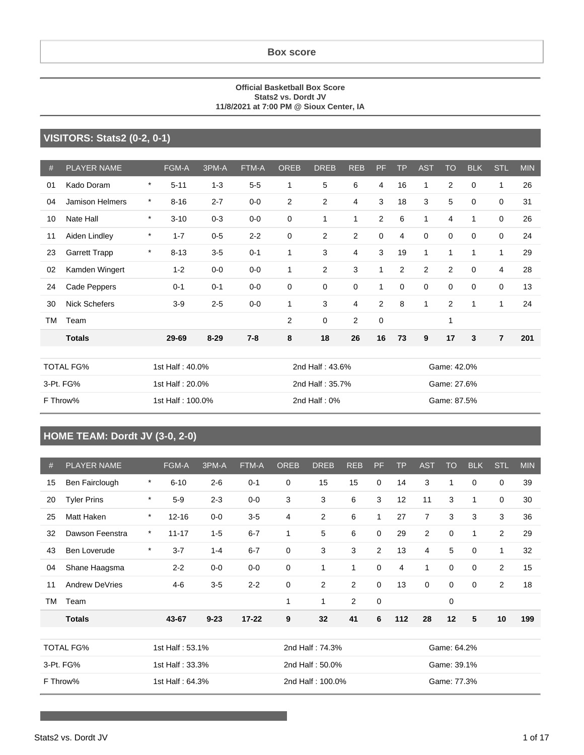#### **Box score**

#### **Official Basketball Box Score Stats2 vs. Dordt JV 11/8/2021 at 7:00 PM @ Sioux Center, IA**

#### **VISITORS: Stats2 (0-2, 0-1)**

| #  | <b>PLAYER NAME</b>     |         | FGM-A            | 3PM-A    | FTM-A   | <b>OREB</b> | <b>DREB</b>     | <b>REB</b>     | PF             | <b>TP</b> | <b>AST</b>   | <b>TO</b>      | <b>BLK</b>  | <b>STL</b>     | <b>MIN</b> |
|----|------------------------|---------|------------------|----------|---------|-------------|-----------------|----------------|----------------|-----------|--------------|----------------|-------------|----------------|------------|
| 01 | Kado Doram             | $\ast$  | $5 - 11$         | $1 - 3$  | $5-5$   | 1           | 5               | 6              | 4              | 16        | 1            | $\overline{2}$ | $\mathbf 0$ | 1              | 26         |
| 04 | <b>Jamison Helmers</b> | $\ast$  | $8 - 16$         | $2 - 7$  | $0-0$   | 2           | 2               | 4              | 3              | 18        | 3            | 5              | 0           | 0              | 31         |
| 10 | Nate Hall              | $\ast$  | $3 - 10$         | $0 - 3$  | $0-0$   | 0           | 1               | 1              | $\overline{2}$ | 6         | $\mathbf{1}$ | $\overline{4}$ | 1           | 0              | 26         |
| 11 | Aiden Lindley          | $\star$ | $1 - 7$          | $0 - 5$  | $2 - 2$ | 0           | 2               | $\overline{2}$ | 0              | 4         | $\mathbf 0$  | 0              | 0           | 0              | 24         |
| 23 | <b>Garrett Trapp</b>   | $\ast$  | $8 - 13$         | $3-5$    | $0 - 1$ | 1           | 3               | 4              | 3              | 19        | $\mathbf{1}$ | 1              | 1           | 1              | 29         |
| 02 | Kamden Wingert         |         | $1 - 2$          | $0-0$    | $0-0$   | 1           | $\overline{c}$  | 3              | $\mathbf{1}$   | 2         | $\mathbf{2}$ | $\overline{2}$ | $\mathbf 0$ | 4              | 28         |
| 24 | Cade Peppers           |         | $0 - 1$          | $0 - 1$  | $0-0$   | 0           | $\mathbf 0$     | $\mathbf 0$    | $\mathbf{1}$   | 0         | $\mathbf 0$  | 0              | 0           | 0              | 13         |
| 30 | <b>Nick Schefers</b>   |         | $3-9$            | $2 - 5$  | $0-0$   | 1           | 3               | 4              | $\overline{2}$ | 8         | $\mathbf{1}$ | 2              | 1           | $\mathbf{1}$   | 24         |
| TM | Team                   |         |                  |          |         | 2           | 0               | $\overline{2}$ | 0              |           |              | 1              |             |                |            |
|    | <b>Totals</b>          |         | 29-69            | $8 - 29$ | $7 - 8$ | 8           | 18              | 26             | 16             | 73        | 9            | 17             | 3           | $\overline{7}$ | 201        |
|    |                        |         |                  |          |         |             |                 |                |                |           |              |                |             |                |            |
|    | <b>TOTAL FG%</b>       |         | 1st Half: 40.0%  |          |         |             | 2nd Half: 43.6% |                |                |           |              | Game: 42.0%    |             |                |            |
|    | 3-Pt. FG%              |         | 1st Half: 20.0%  |          |         |             | 2nd Half: 35.7% |                |                |           |              | Game: 27.6%    |             |                |            |
|    | F Throw%               |         | 1st Half: 100.0% |          |         |             | 2nd Half: $0\%$ |                |                |           |              | Game: 87.5%    |             |                |            |

### **HOME TEAM: Dordt JV (3-0, 2-0)**

| #         | <b>PLAYER NAME</b> |         | FGM-A           | 3PM-A    | FTM-A     | <b>OREB</b> | <b>DREB</b>      | <b>REB</b> | PF.          | TP  | <b>AST</b>     | <b>TO</b>   | <b>BLK</b>   | STL | <b>MIN</b> |
|-----------|--------------------|---------|-----------------|----------|-----------|-------------|------------------|------------|--------------|-----|----------------|-------------|--------------|-----|------------|
| 15        | Ben Fairclough     | $\star$ | $6 - 10$        | $2 - 6$  | $0 - 1$   | 0           | 15               | 15         | 0            | 14  | 3              | 1           | 0            | 0   | 39         |
| 20        | <b>Tyler Prins</b> | $\star$ | $5-9$           | $2 - 3$  | $0-0$     | 3           | 3                | 6          | 3            | 12  | 11             | 3           | 1            | 0   | 30         |
| 25        | Matt Haken         | $\star$ | $12 - 16$       | $0-0$    | $3-5$     | 4           | 2                | 6          | $\mathbf{1}$ | 27  | $\overline{7}$ | 3           | 3            | 3   | 36         |
| 32        | Dawson Feenstra    | $\star$ | $11 - 17$       | $1 - 5$  | $6 - 7$   | 1           | 5                | 6          | 0            | 29  | $\overline{2}$ | $\mathbf 0$ | $\mathbf{1}$ | 2   | 29         |
| 43        | Ben Loverude       | $\ast$  | $3 - 7$         | $1 - 4$  | $6 - 7$   | 0           | 3                | 3          | 2            | 13  | 4              | 5           | $\mathbf 0$  | 1   | 32         |
| 04        | Shane Haagsma      |         | $2 - 2$         | $0-0$    | $0-0$     | 0           | 1                | 1          | $\mathbf 0$  | 4   | 1              | $\mathbf 0$ | $\mathbf 0$  | 2   | 15         |
| 11        | Andrew DeVries     |         | $4 - 6$         | $3-5$    | $2 - 2$   | 0           | 2                | 2          | 0            | 13  | 0              | $\mathbf 0$ | $\Omega$     | 2   | 18         |
| <b>TM</b> | Team               |         |                 |          |           | 1           | 1                | 2          | $\mathbf 0$  |     |                | $\mathbf 0$ |              |     |            |
|           | <b>Totals</b>      |         | 43-67           | $9 - 23$ | $17 - 22$ | 9           | 32               | 41         | 6            | 112 | 28             | 12          | 5            | 10  | 199        |
|           |                    |         |                 |          |           |             |                  |            |              |     |                |             |              |     |            |
|           | <b>TOTAL FG%</b>   |         | 1st Half: 53.1% |          |           |             | 2nd Half: 74.3%  |            |              |     |                | Game: 64.2% |              |     |            |
|           | 3-Pt. FG%          |         | 1st Half: 33.3% |          |           |             | 2nd Half: 50.0%  |            |              |     |                | Game: 39.1% |              |     |            |
|           | F Throw%           |         | 1st Half: 64.3% |          |           |             | 2nd Half: 100.0% |            |              |     |                | Game: 77.3% |              |     |            |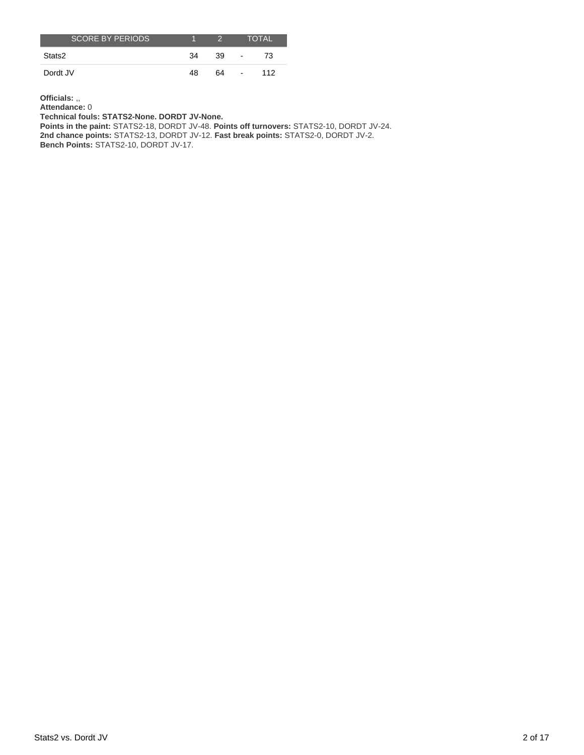| <b>SCORE BY PERIODS</b> |    |    |                | <b>TOTAL</b> |
|-------------------------|----|----|----------------|--------------|
| Stats2                  | 34 | 39 | $\blacksquare$ | 73           |
| Dordt JV                | 48 | 64 | $\sim$         | 112          |

**Officials:** ,,

**Attendance:** 0

**Technical fouls: STATS2-None. DORDT JV-None.**

**Points in the paint:** STATS2-18, DORDT JV-48. **Points off turnovers:** STATS2-10, DORDT JV-24. **2nd chance points:** STATS2-13, DORDT JV-12. **Fast break points:** STATS2-0, DORDT JV-2. **Bench Points:** STATS2-10, DORDT JV-17.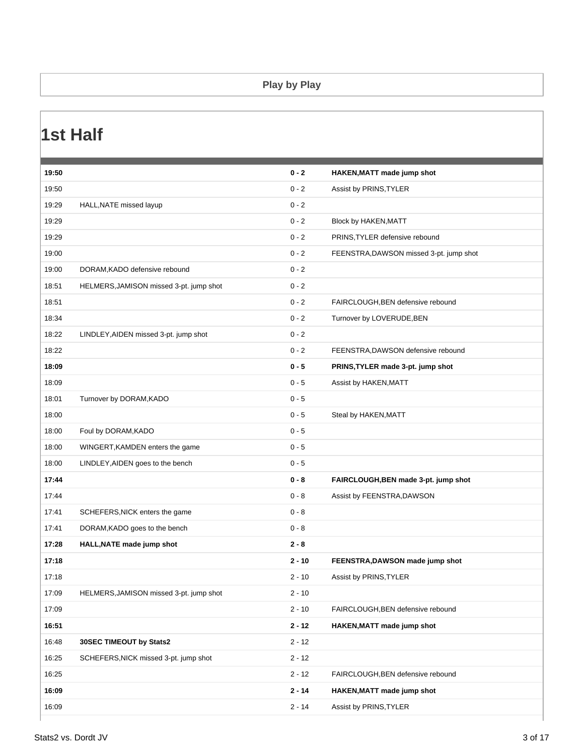#### **Play by Play**

### **1st Half**

| 19:50 |                                         | $0 - 2$  | HAKEN, MATT made jump shot              |
|-------|-----------------------------------------|----------|-----------------------------------------|
| 19:50 |                                         | $0 - 2$  | Assist by PRINS, TYLER                  |
| 19:29 | HALL, NATE missed layup                 | $0 - 2$  |                                         |
| 19:29 |                                         | $0 - 2$  | Block by HAKEN, MATT                    |
| 19:29 |                                         | $0 - 2$  | PRINS, TYLER defensive rebound          |
| 19:00 |                                         | $0 - 2$  | FEENSTRA, DAWSON missed 3-pt. jump shot |
| 19:00 | DORAM, KADO defensive rebound           | $0 - 2$  |                                         |
| 18:51 | HELMERS, JAMISON missed 3-pt. jump shot | $0 - 2$  |                                         |
| 18:51 |                                         | $0 - 2$  | FAIRCLOUGH, BEN defensive rebound       |
| 18:34 |                                         | $0 - 2$  | Turnover by LOVERUDE, BEN               |
| 18:22 | LINDLEY, AIDEN missed 3-pt. jump shot   | $0 - 2$  |                                         |
| 18:22 |                                         | $0 - 2$  | FEENSTRA, DAWSON defensive rebound      |
| 18:09 |                                         | $0 - 5$  | PRINS, TYLER made 3-pt. jump shot       |
| 18:09 |                                         | $0 - 5$  | Assist by HAKEN, MATT                   |
| 18:01 | Turnover by DORAM, KADO                 | $0 - 5$  |                                         |
| 18:00 |                                         | $0 - 5$  | Steal by HAKEN, MATT                    |
| 18:00 | Foul by DORAM, KADO                     | $0 - 5$  |                                         |
| 18:00 | WINGERT, KAMDEN enters the game         | $0 - 5$  |                                         |
| 18:00 | LINDLEY, AIDEN goes to the bench        | $0 - 5$  |                                         |
| 17:44 |                                         | $0 - 8$  | FAIRCLOUGH, BEN made 3-pt. jump shot    |
| 17:44 |                                         | $0 - 8$  | Assist by FEENSTRA, DAWSON              |
| 17:41 | SCHEFERS, NICK enters the game          | $0 - 8$  |                                         |
| 17:41 | DORAM, KADO goes to the bench           | $0 - 8$  |                                         |
| 17:28 | HALL, NATE made jump shot               | $2 - 8$  |                                         |
| 17:18 |                                         | $2 - 10$ | FEENSTRA, DAWSON made jump shot         |
| 17:18 |                                         | $2 - 10$ | Assist by PRINS, TYLER                  |
| 17:09 | HELMERS, JAMISON missed 3-pt. jump shot | $2 - 10$ |                                         |
| 17:09 |                                         | $2 - 10$ | FAIRCLOUGH, BEN defensive rebound       |
| 16:51 |                                         | $2 - 12$ | HAKEN, MATT made jump shot              |
| 16:48 | 30SEC TIMEOUT by Stats2                 | $2 - 12$ |                                         |
| 16:25 | SCHEFERS, NICK missed 3-pt. jump shot   | $2 - 12$ |                                         |
| 16:25 |                                         | $2 - 12$ | FAIRCLOUGH, BEN defensive rebound       |
| 16:09 |                                         | $2 - 14$ | HAKEN, MATT made jump shot              |
| 16:09 |                                         | $2 - 14$ | Assist by PRINS, TYLER                  |
|       |                                         |          |                                         |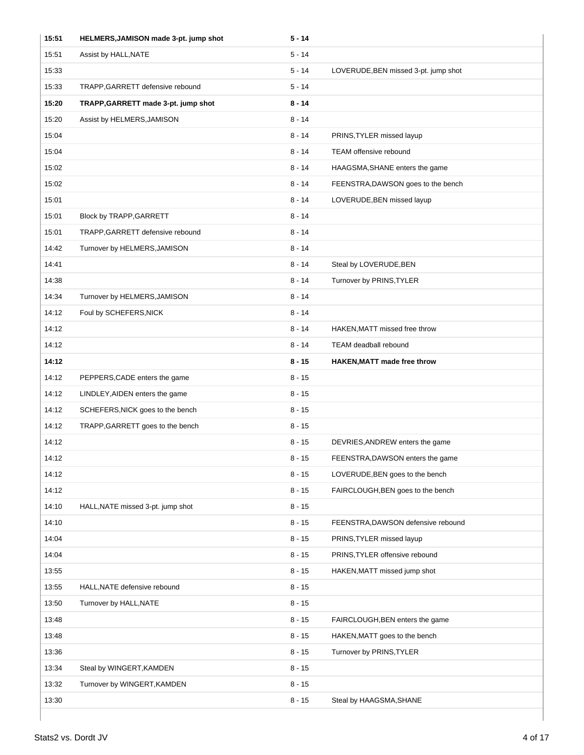| 15:51 | HELMERS, JAMISON made 3-pt. jump shot | $5 - 14$ |                                      |
|-------|---------------------------------------|----------|--------------------------------------|
| 15:51 | Assist by HALL, NATE                  | $5 - 14$ |                                      |
| 15:33 |                                       | $5 - 14$ | LOVERUDE, BEN missed 3-pt. jump shot |
| 15:33 | TRAPP, GARRETT defensive rebound      | 5 - 14   |                                      |
| 15:20 | TRAPP, GARRETT made 3-pt. jump shot   | 8 - 14   |                                      |
| 15:20 | Assist by HELMERS, JAMISON            | $8 - 14$ |                                      |
| 15:04 |                                       | $8 - 14$ | PRINS, TYLER missed layup            |
| 15:04 |                                       | $8 - 14$ | <b>TEAM offensive rebound</b>        |
| 15:02 |                                       | $8 - 14$ | HAAGSMA, SHANE enters the game       |
| 15:02 |                                       | 8 - 14   | FEENSTRA, DAWSON goes to the bench   |
| 15:01 |                                       | $8 - 14$ | LOVERUDE, BEN missed layup           |
| 15:01 | Block by TRAPP, GARRETT               | $8 - 14$ |                                      |
| 15:01 | TRAPP, GARRETT defensive rebound      | $8 - 14$ |                                      |
| 14:42 | Turnover by HELMERS, JAMISON          | $8 - 14$ |                                      |
| 14:41 |                                       | $8 - 14$ | Steal by LOVERUDE, BEN               |
| 14:38 |                                       | $8 - 14$ | Turnover by PRINS, TYLER             |
| 14:34 | Turnover by HELMERS, JAMISON          | $8 - 14$ |                                      |
| 14:12 | Foul by SCHEFERS, NICK                | $8 - 14$ |                                      |
| 14:12 |                                       | $8 - 14$ | HAKEN, MATT missed free throw        |
| 14:12 |                                       | $8 - 14$ | TEAM deadball rebound                |
| 14:12 |                                       | $8 - 15$ | <b>HAKEN, MATT made free throw</b>   |
| 14:12 | PEPPERS, CADE enters the game         | $8 - 15$ |                                      |
| 14:12 | LINDLEY, AIDEN enters the game        | $8 - 15$ |                                      |
| 14:12 | SCHEFERS, NICK goes to the bench      | $8 - 15$ |                                      |
| 14:12 | TRAPP, GARRETT goes to the bench      | $8 - 15$ |                                      |
| 14:12 |                                       | $8 - 15$ | DEVRIES, ANDREW enters the game      |
| 14:12 |                                       | 8 - 15   | FEENSTRA, DAWSON enters the game     |
| 14:12 |                                       | $8 - 15$ | LOVERUDE, BEN goes to the bench      |
| 14:12 |                                       | $8 - 15$ | FAIRCLOUGH, BEN goes to the bench    |
| 14:10 | HALL, NATE missed 3-pt. jump shot     | $8 - 15$ |                                      |
| 14:10 |                                       | $8 - 15$ | FEENSTRA, DAWSON defensive rebound   |
| 14:04 |                                       | $8 - 15$ | PRINS, TYLER missed layup            |
| 14:04 |                                       | $8 - 15$ | PRINS, TYLER offensive rebound       |
| 13:55 |                                       | $8 - 15$ | HAKEN, MATT missed jump shot         |
| 13:55 | HALL, NATE defensive rebound          | $8 - 15$ |                                      |
| 13:50 | Turnover by HALL, NATE                | $8 - 15$ |                                      |
| 13:48 |                                       | $8 - 15$ | FAIRCLOUGH, BEN enters the game      |
| 13:48 |                                       | $8 - 15$ | HAKEN, MATT goes to the bench        |
| 13:36 |                                       | $8 - 15$ | Turnover by PRINS, TYLER             |
| 13:34 | Steal by WINGERT, KAMDEN              | $8 - 15$ |                                      |
| 13:32 | Turnover by WINGERT, KAMDEN           | $8 - 15$ |                                      |
| 13:30 |                                       | $8 - 15$ | Steal by HAAGSMA, SHANE              |
|       |                                       |          |                                      |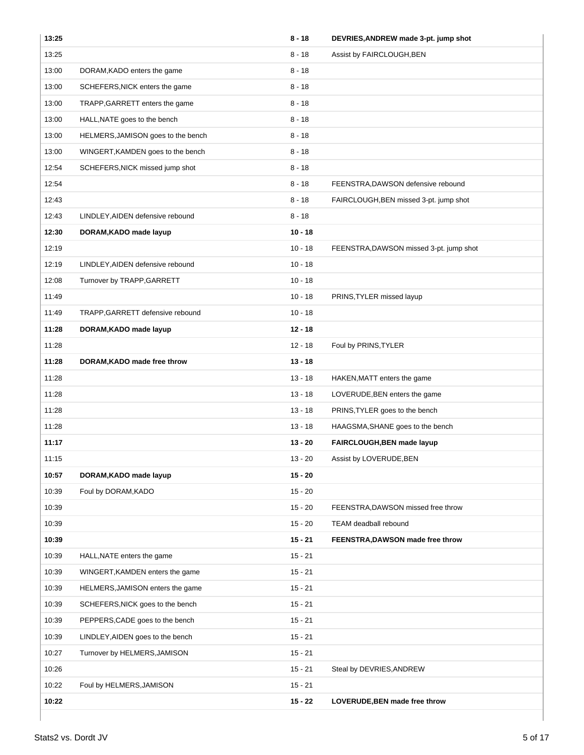| 13:25 |                                    | $8 - 18$  | DEVRIES, ANDREW made 3-pt. jump shot    |
|-------|------------------------------------|-----------|-----------------------------------------|
| 13:25 |                                    | $8 - 18$  | Assist by FAIRCLOUGH, BEN               |
| 13:00 | DORAM, KADO enters the game        | $8 - 18$  |                                         |
| 13:00 | SCHEFERS, NICK enters the game     | $8 - 18$  |                                         |
| 13:00 | TRAPP, GARRETT enters the game     | $8 - 18$  |                                         |
| 13:00 | HALL, NATE goes to the bench       | $8 - 18$  |                                         |
| 13:00 | HELMERS, JAMISON goes to the bench | $8 - 18$  |                                         |
| 13:00 | WINGERT, KAMDEN goes to the bench  | $8 - 18$  |                                         |
| 12:54 | SCHEFERS, NICK missed jump shot    | $8 - 18$  |                                         |
| 12:54 |                                    | $8 - 18$  | FEENSTRA, DAWSON defensive rebound      |
| 12:43 |                                    | $8 - 18$  | FAIRCLOUGH, BEN missed 3-pt. jump shot  |
| 12:43 | LINDLEY, AIDEN defensive rebound   | $8 - 18$  |                                         |
| 12:30 | DORAM, KADO made layup             | $10 - 18$ |                                         |
| 12:19 |                                    | $10 - 18$ | FEENSTRA, DAWSON missed 3-pt. jump shot |
| 12:19 | LINDLEY, AIDEN defensive rebound   | $10 - 18$ |                                         |
| 12:08 | Turnover by TRAPP, GARRETT         | $10 - 18$ |                                         |
| 11:49 |                                    | $10 - 18$ | PRINS, TYLER missed layup               |
| 11:49 | TRAPP, GARRETT defensive rebound   | $10 - 18$ |                                         |
| 11:28 | DORAM, KADO made layup             | $12 - 18$ |                                         |
| 11:28 |                                    | $12 - 18$ | Foul by PRINS, TYLER                    |
| 11:28 | DORAM, KADO made free throw        | $13 - 18$ |                                         |
| 11:28 |                                    | $13 - 18$ | HAKEN, MATT enters the game             |
| 11:28 |                                    | $13 - 18$ | LOVERUDE, BEN enters the game           |
| 11:28 |                                    | $13 - 18$ | PRINS, TYLER goes to the bench          |
| 11:28 |                                    | $13 - 18$ | HAAGSMA, SHANE goes to the bench        |
| 11:17 |                                    | $13 - 20$ | FAIRCLOUGH, BEN made layup              |
| 11:15 |                                    | $13 - 20$ | Assist by LOVERUDE, BEN                 |
| 10:57 | DORAM, KADO made layup             | $15 - 20$ |                                         |
| 10:39 | Foul by DORAM, KADO                | $15 - 20$ |                                         |
| 10:39 |                                    | $15 - 20$ | FEENSTRA, DAWSON missed free throw      |
| 10:39 |                                    | $15 - 20$ | TEAM deadball rebound                   |
| 10:39 |                                    | $15 - 21$ | FEENSTRA, DAWSON made free throw        |
| 10:39 | HALL, NATE enters the game         | $15 - 21$ |                                         |
| 10:39 | WINGERT, KAMDEN enters the game    | $15 - 21$ |                                         |
| 10:39 | HELMERS, JAMISON enters the game   | $15 - 21$ |                                         |
| 10:39 | SCHEFERS, NICK goes to the bench   | $15 - 21$ |                                         |
| 10:39 | PEPPERS, CADE goes to the bench    | $15 - 21$ |                                         |
| 10:39 | LINDLEY, AIDEN goes to the bench   | $15 - 21$ |                                         |
| 10:27 | Turnover by HELMERS, JAMISON       | $15 - 21$ |                                         |
| 10:26 |                                    | $15 - 21$ | Steal by DEVRIES, ANDREW                |
| 10:22 | Foul by HELMERS, JAMISON           | $15 - 21$ |                                         |
| 10:22 |                                    | $15 - 22$ | LOVERUDE, BEN made free throw           |
|       |                                    |           |                                         |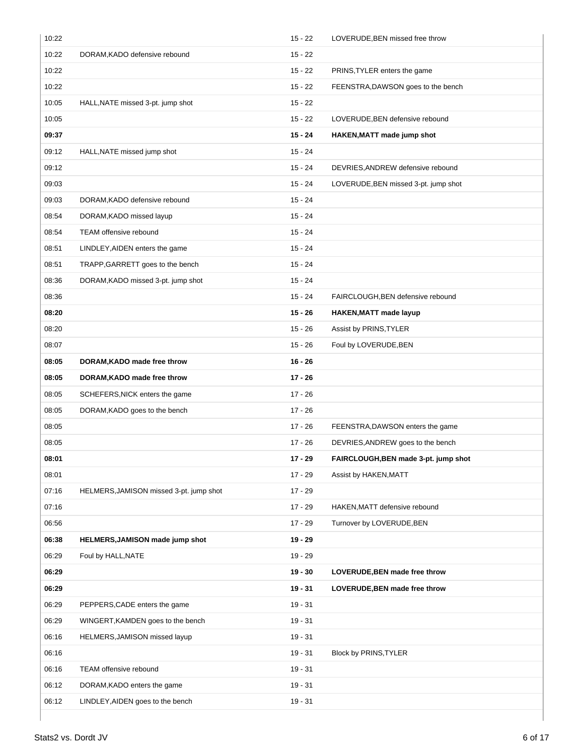| 10:22 |                                         | $15 - 22$ | LOVERUDE, BEN missed free throw      |
|-------|-----------------------------------------|-----------|--------------------------------------|
| 10:22 | DORAM, KADO defensive rebound           | $15 - 22$ |                                      |
| 10:22 |                                         | $15 - 22$ | PRINS, TYLER enters the game         |
| 10:22 |                                         | $15 - 22$ | FEENSTRA, DAWSON goes to the bench   |
| 10:05 | HALL, NATE missed 3-pt. jump shot       | $15 - 22$ |                                      |
| 10:05 |                                         | $15 - 22$ | LOVERUDE, BEN defensive rebound      |
| 09:37 |                                         | 15 - 24   | HAKEN, MATT made jump shot           |
| 09:12 | HALL, NATE missed jump shot             | $15 - 24$ |                                      |
| 09:12 |                                         | $15 - 24$ | DEVRIES, ANDREW defensive rebound    |
| 09:03 |                                         | $15 - 24$ | LOVERUDE, BEN missed 3-pt. jump shot |
| 09:03 | DORAM, KADO defensive rebound           | $15 - 24$ |                                      |
| 08:54 | DORAM, KADO missed layup                | $15 - 24$ |                                      |
| 08:54 | TEAM offensive rebound                  | $15 - 24$ |                                      |
| 08:51 | LINDLEY, AIDEN enters the game          | $15 - 24$ |                                      |
| 08:51 | TRAPP, GARRETT goes to the bench        | $15 - 24$ |                                      |
| 08:36 | DORAM, KADO missed 3-pt. jump shot      | $15 - 24$ |                                      |
| 08:36 |                                         | $15 - 24$ | FAIRCLOUGH, BEN defensive rebound    |
| 08:20 |                                         | $15 - 26$ | <b>HAKEN, MATT made layup</b>        |
| 08:20 |                                         | $15 - 26$ | Assist by PRINS, TYLER               |
| 08:07 |                                         | $15 - 26$ | Foul by LOVERUDE, BEN                |
| 08:05 | DORAM, KADO made free throw             | $16 - 26$ |                                      |
| 08:05 | DORAM, KADO made free throw             | $17 - 26$ |                                      |
| 08:05 | SCHEFERS, NICK enters the game          | $17 - 26$ |                                      |
| 08:05 | DORAM, KADO goes to the bench           | $17 - 26$ |                                      |
| 08:05 |                                         | $17 - 26$ | FEENSTRA, DAWSON enters the game     |
| 08:05 |                                         | 17 - 26   | DEVRIES, ANDREW goes to the bench    |
| 08:01 |                                         | $17 - 29$ | FAIRCLOUGH, BEN made 3-pt. jump shot |
| 08:01 |                                         | 17 - 29   | Assist by HAKEN, MATT                |
| 07:16 | HELMERS, JAMISON missed 3-pt. jump shot | $17 - 29$ |                                      |
| 07:16 |                                         | 17 - 29   | HAKEN, MATT defensive rebound        |
| 06:56 |                                         | 17 - 29   | Turnover by LOVERUDE, BEN            |
| 06:38 | HELMERS, JAMISON made jump shot         | $19 - 29$ |                                      |
| 06:29 | Foul by HALL, NATE                      | $19 - 29$ |                                      |
| 06:29 |                                         | $19 - 30$ | LOVERUDE, BEN made free throw        |
| 06:29 |                                         | $19 - 31$ | LOVERUDE, BEN made free throw        |
| 06:29 | PEPPERS, CADE enters the game           | $19 - 31$ |                                      |
| 06:29 | WINGERT, KAMDEN goes to the bench       | $19 - 31$ |                                      |
| 06:16 | HELMERS, JAMISON missed layup           | 19 - 31   |                                      |
| 06:16 |                                         | $19 - 31$ | Block by PRINS, TYLER                |
| 06:16 | TEAM offensive rebound                  | $19 - 31$ |                                      |
| 06:12 | DORAM, KADO enters the game             | 19 - 31   |                                      |
| 06:12 | LINDLEY, AIDEN goes to the bench        | $19 - 31$ |                                      |
|       |                                         |           |                                      |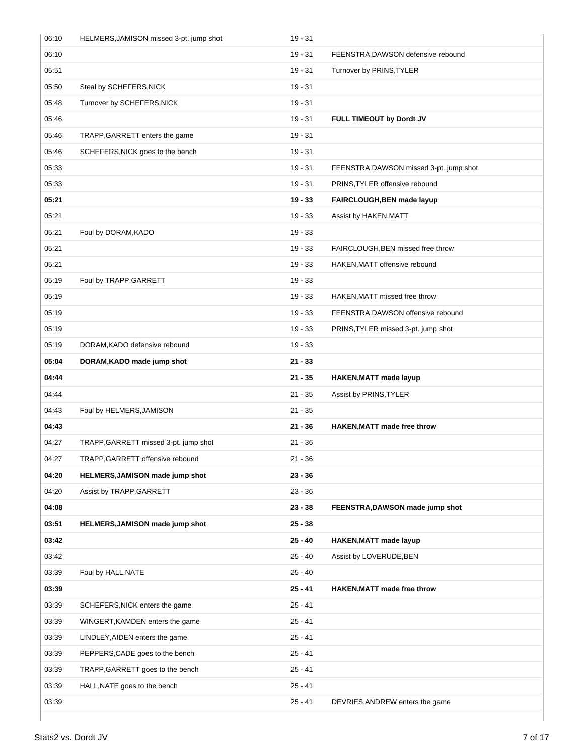| 06:10 | HELMERS, JAMISON missed 3-pt. jump shot | $19 - 31$ |                                         |
|-------|-----------------------------------------|-----------|-----------------------------------------|
| 06:10 |                                         | $19 - 31$ | FEENSTRA, DAWSON defensive rebound      |
| 05:51 |                                         | $19 - 31$ | Turnover by PRINS, TYLER                |
| 05:50 | Steal by SCHEFERS, NICK                 | $19 - 31$ |                                         |
| 05:48 | Turnover by SCHEFERS, NICK              | $19 - 31$ |                                         |
| 05:46 |                                         | $19 - 31$ | FULL TIMEOUT by Dordt JV                |
| 05:46 | TRAPP, GARRETT enters the game          | $19 - 31$ |                                         |
| 05:46 | SCHEFERS, NICK goes to the bench        | $19 - 31$ |                                         |
| 05:33 |                                         | $19 - 31$ | FEENSTRA, DAWSON missed 3-pt. jump shot |
| 05:33 |                                         | $19 - 31$ | PRINS, TYLER offensive rebound          |
| 05:21 |                                         | $19 - 33$ | FAIRCLOUGH, BEN made layup              |
| 05:21 |                                         | $19 - 33$ | Assist by HAKEN, MATT                   |
| 05:21 | Foul by DORAM, KADO                     | $19 - 33$ |                                         |
| 05:21 |                                         | $19 - 33$ | FAIRCLOUGH, BEN missed free throw       |
| 05:21 |                                         | $19 - 33$ | HAKEN, MATT offensive rebound           |
| 05:19 | Foul by TRAPP, GARRETT                  | $19 - 33$ |                                         |
| 05:19 |                                         | $19 - 33$ | HAKEN, MATT missed free throw           |
| 05:19 |                                         | $19 - 33$ | FEENSTRA, DAWSON offensive rebound      |
| 05:19 |                                         | $19 - 33$ | PRINS, TYLER missed 3-pt. jump shot     |
| 05:19 | DORAM, KADO defensive rebound           | $19 - 33$ |                                         |
| 05:04 | DORAM, KADO made jump shot              | $21 - 33$ |                                         |
| 04:44 |                                         | $21 - 35$ | <b>HAKEN, MATT made layup</b>           |
| 04:44 |                                         | $21 - 35$ | Assist by PRINS, TYLER                  |
| 04:43 | Foul by HELMERS, JAMISON                | $21 - 35$ |                                         |
| 04:43 |                                         | $21 - 36$ | <b>HAKEN, MATT made free throw</b>      |
| 04:27 | TRAPP, GARRETT missed 3-pt. jump shot   | $21 - 36$ |                                         |
| 04:27 | TRAPP, GARRETT offensive rebound        | 21 - 36   |                                         |
| 04:20 | HELMERS, JAMISON made jump shot         | $23 - 36$ |                                         |
| 04:20 | Assist by TRAPP, GARRETT                | $23 - 36$ |                                         |
| 04:08 |                                         | $23 - 38$ | FEENSTRA, DAWSON made jump shot         |
| 03:51 | HELMERS, JAMISON made jump shot         | $25 - 38$ |                                         |
| 03:42 |                                         | $25 - 40$ | <b>HAKEN, MATT made layup</b>           |
| 03:42 |                                         | $25 - 40$ | Assist by LOVERUDE, BEN                 |
| 03:39 | Foul by HALL, NATE                      | $25 - 40$ |                                         |
| 03:39 |                                         | 25 - 41   | HAKEN, MATT made free throw             |
| 03:39 | SCHEFERS, NICK enters the game          | $25 - 41$ |                                         |
| 03:39 | WINGERT, KAMDEN enters the game         | $25 - 41$ |                                         |
| 03:39 | LINDLEY, AIDEN enters the game          | $25 - 41$ |                                         |
| 03:39 | PEPPERS, CADE goes to the bench         | $25 - 41$ |                                         |
| 03:39 | TRAPP, GARRETT goes to the bench        | $25 - 41$ |                                         |
| 03:39 | HALL, NATE goes to the bench            | $25 - 41$ |                                         |
| 03:39 |                                         | $25 - 41$ | DEVRIES, ANDREW enters the game         |
|       |                                         |           |                                         |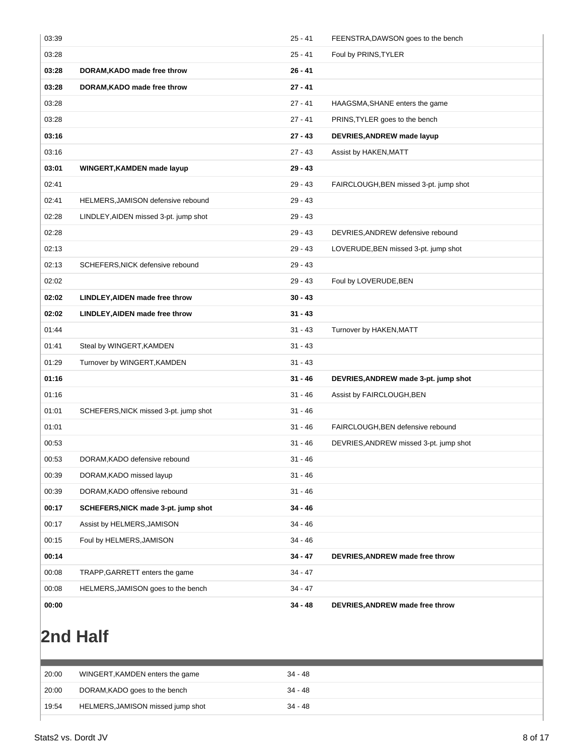| 03:39 |                                       | $25 - 41$ | FEENSTRA, DAWSON goes to the bench     |
|-------|---------------------------------------|-----------|----------------------------------------|
| 03:28 |                                       | $25 - 41$ | Foul by PRINS, TYLER                   |
| 03:28 | DORAM, KADO made free throw           | $26 - 41$ |                                        |
| 03:28 | DORAM, KADO made free throw           | $27 - 41$ |                                        |
| 03:28 |                                       | $27 - 41$ | HAAGSMA, SHANE enters the game         |
| 03:28 |                                       | $27 - 41$ | PRINS, TYLER goes to the bench         |
| 03:16 |                                       | $27 - 43$ | DEVRIES, ANDREW made layup             |
| 03:16 |                                       | $27 - 43$ | Assist by HAKEN, MATT                  |
| 03:01 | WINGERT, KAMDEN made layup            | $29 - 43$ |                                        |
| 02:41 |                                       | $29 - 43$ | FAIRCLOUGH, BEN missed 3-pt. jump shot |
| 02:41 | HELMERS, JAMISON defensive rebound    | $29 - 43$ |                                        |
| 02:28 | LINDLEY, AIDEN missed 3-pt. jump shot | $29 - 43$ |                                        |
| 02:28 |                                       | $29 - 43$ | DEVRIES, ANDREW defensive rebound      |
| 02:13 |                                       | $29 - 43$ | LOVERUDE, BEN missed 3-pt. jump shot   |
| 02:13 | SCHEFERS, NICK defensive rebound      | $29 - 43$ |                                        |
| 02:02 |                                       | $29 - 43$ | Foul by LOVERUDE, BEN                  |
| 02:02 | LINDLEY, AIDEN made free throw        | $30 - 43$ |                                        |
| 02:02 | LINDLEY, AIDEN made free throw        | $31 - 43$ |                                        |
| 01:44 |                                       | $31 - 43$ | Turnover by HAKEN, MATT                |
| 01:41 | Steal by WINGERT, KAMDEN              | $31 - 43$ |                                        |
| 01:29 | Turnover by WINGERT, KAMDEN           | $31 - 43$ |                                        |
| 01:16 |                                       | $31 - 46$ | DEVRIES, ANDREW made 3-pt. jump shot   |
| 01:16 |                                       | $31 - 46$ | Assist by FAIRCLOUGH, BEN              |
| 01:01 | SCHEFERS, NICK missed 3-pt. jump shot | $31 - 46$ |                                        |
| 01:01 |                                       | $31 - 46$ | FAIRCLOUGH, BEN defensive rebound      |
| 00:53 |                                       | $31 - 46$ | DEVRIES, ANDREW missed 3-pt. jump shot |
| 00:53 | DORAM, KADO defensive rebound         | 31 - 46   |                                        |
| 00:39 | DORAM, KADO missed layup              | $31 - 46$ |                                        |
| 00:39 | DORAM, KADO offensive rebound         | $31 - 46$ |                                        |
| 00:17 | SCHEFERS, NICK made 3-pt. jump shot   | $34 - 46$ |                                        |
| 00:17 | Assist by HELMERS, JAMISON            | $34 - 46$ |                                        |
| 00:15 | Foul by HELMERS, JAMISON              | $34 - 46$ |                                        |
|       |                                       |           |                                        |
| 00:14 |                                       | $34 - 47$ | DEVRIES, ANDREW made free throw        |
| 00:08 | TRAPP, GARRETT enters the game        | $34 - 47$ |                                        |
| 00:08 | HELMERS, JAMISON goes to the bench    | $34 - 47$ |                                        |

# **2nd Half**

| 20:00<br>DORAM, KADO goes to the bench<br>$34 - 48$<br>HELMERS, JAMISON missed jump shot<br>19:54<br>34 - 48 | 20:00 | WINGERT, KAMDEN enters the game | $34 - 48$ |
|--------------------------------------------------------------------------------------------------------------|-------|---------------------------------|-----------|
|                                                                                                              |       |                                 |           |
|                                                                                                              |       |                                 |           |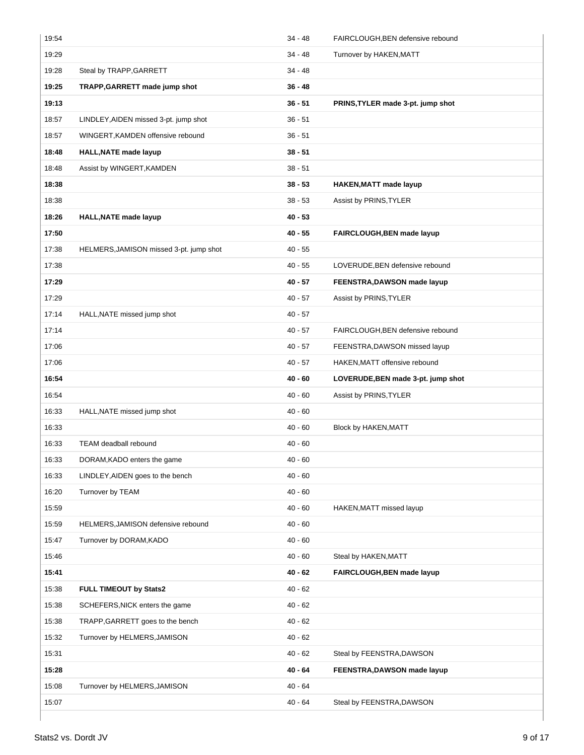| 19:54 |                                         | $34 - 48$ | FAIRCLOUGH, BEN defensive rebound  |
|-------|-----------------------------------------|-----------|------------------------------------|
| 19:29 |                                         | $34 - 48$ | Turnover by HAKEN, MATT            |
| 19:28 | Steal by TRAPP, GARRETT                 | 34 - 48   |                                    |
| 19:25 | TRAPP, GARRETT made jump shot           | $36 - 48$ |                                    |
| 19:13 |                                         | $36 - 51$ | PRINS, TYLER made 3-pt. jump shot  |
| 18:57 | LINDLEY, AIDEN missed 3-pt. jump shot   | $36 - 51$ |                                    |
| 18:57 | WINGERT, KAMDEN offensive rebound       | $36 - 51$ |                                    |
| 18:48 | <b>HALL, NATE made layup</b>            | $38 - 51$ |                                    |
| 18:48 | Assist by WINGERT, KAMDEN               | $38 - 51$ |                                    |
| 18:38 |                                         | $38 - 53$ | <b>HAKEN, MATT made layup</b>      |
| 18:38 |                                         | $38 - 53$ | Assist by PRINS, TYLER             |
| 18:26 | <b>HALL, NATE made layup</b>            | $40 - 53$ |                                    |
| 17:50 |                                         | $40 - 55$ | FAIRCLOUGH, BEN made layup         |
| 17:38 | HELMERS, JAMISON missed 3-pt. jump shot | $40 - 55$ |                                    |
| 17:38 |                                         | $40 - 55$ | LOVERUDE, BEN defensive rebound    |
| 17:29 |                                         | 40 - 57   | FEENSTRA, DAWSON made layup        |
| 17:29 |                                         | $40 - 57$ | Assist by PRINS, TYLER             |
| 17:14 | HALL, NATE missed jump shot             | $40 - 57$ |                                    |
| 17:14 |                                         | $40 - 57$ | FAIRCLOUGH, BEN defensive rebound  |
| 17:06 |                                         | $40 - 57$ | FEENSTRA, DAWSON missed layup      |
| 17:06 |                                         | $40 - 57$ | HAKEN, MATT offensive rebound      |
|       |                                         |           |                                    |
| 16:54 |                                         | 40 - 60   | LOVERUDE, BEN made 3-pt. jump shot |
| 16:54 |                                         | 40 - 60   | Assist by PRINS, TYLER             |
| 16:33 | HALL, NATE missed jump shot             | $40 - 60$ |                                    |
| 16:33 |                                         | $40 - 60$ | Block by HAKEN, MATT               |
| 16:33 | TEAM deadball rebound                   | $40 - 60$ |                                    |
| 16:33 | DORAM, KADO enters the game             | $40 - 60$ |                                    |
| 16:33 | LINDLEY, AIDEN goes to the bench        | $40 - 60$ |                                    |
| 16:20 | Turnover by TEAM                        | $40 - 60$ |                                    |
| 15:59 |                                         | $40 - 60$ | HAKEN, MATT missed layup           |
| 15:59 | HELMERS, JAMISON defensive rebound      | $40 - 60$ |                                    |
| 15:47 | Turnover by DORAM, KADO                 | $40 - 60$ |                                    |
| 15:46 |                                         | $40 - 60$ | Steal by HAKEN, MATT               |
| 15:41 |                                         | 40 - 62   | FAIRCLOUGH, BEN made layup         |
| 15:38 | FULL TIMEOUT by Stats2                  | $40 - 62$ |                                    |
| 15:38 | SCHEFERS, NICK enters the game          | $40 - 62$ |                                    |
| 15:38 | TRAPP, GARRETT goes to the bench        | $40 - 62$ |                                    |
| 15:32 | Turnover by HELMERS, JAMISON            | $40 - 62$ |                                    |
| 15:31 |                                         | $40 - 62$ | Steal by FEENSTRA, DAWSON          |
| 15:28 |                                         | 40 - 64   | FEENSTRA, DAWSON made layup        |
| 15:08 | Turnover by HELMERS, JAMISON            | $40 - 64$ |                                    |
| 15:07 |                                         | $40 - 64$ | Steal by FEENSTRA, DAWSON          |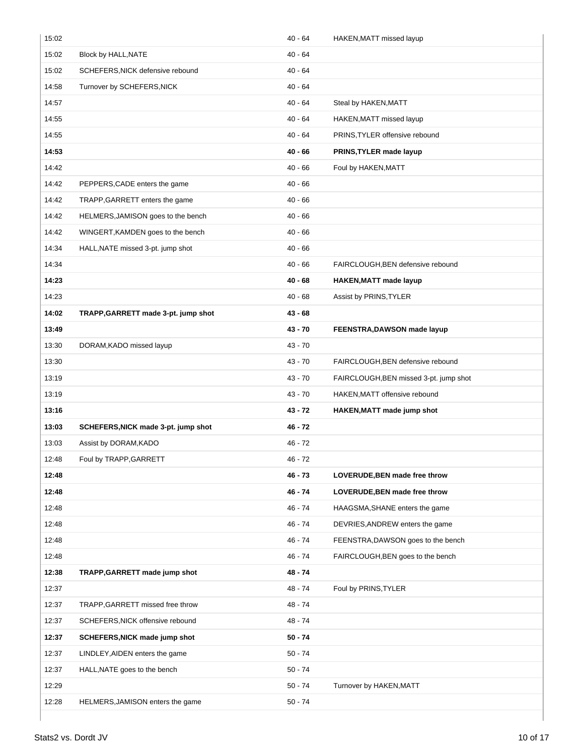| 15:02 |                                     | 40 - 64   | HAKEN, MATT missed layup               |
|-------|-------------------------------------|-----------|----------------------------------------|
| 15:02 | Block by HALL, NATE                 | $40 - 64$ |                                        |
| 15:02 | SCHEFERS, NICK defensive rebound    | 40 - 64   |                                        |
| 14:58 | Turnover by SCHEFERS, NICK          | $40 - 64$ |                                        |
| 14:57 |                                     | 40 - 64   | Steal by HAKEN, MATT                   |
| 14:55 |                                     | 40 - 64   | HAKEN, MATT missed layup               |
| 14:55 |                                     | 40 - 64   | PRINS, TYLER offensive rebound         |
| 14:53 |                                     | $40 - 66$ | PRINS, TYLER made layup                |
| 14:42 |                                     | 40 - 66   | Foul by HAKEN, MATT                    |
| 14:42 | PEPPERS, CADE enters the game       | 40 - 66   |                                        |
| 14:42 | TRAPP, GARRETT enters the game      | $40 - 66$ |                                        |
| 14:42 | HELMERS, JAMISON goes to the bench  | $40 - 66$ |                                        |
| 14:42 | WINGERT, KAMDEN goes to the bench   | $40 - 66$ |                                        |
| 14:34 | HALL, NATE missed 3-pt. jump shot   | $40 - 66$ |                                        |
| 14:34 |                                     | 40 - 66   | FAIRCLOUGH, BEN defensive rebound      |
| 14:23 |                                     | 40 - 68   | HAKEN, MATT made layup                 |
| 14:23 |                                     | $40 - 68$ | Assist by PRINS, TYLER                 |
| 14:02 | TRAPP, GARRETT made 3-pt. jump shot | $43 - 68$ |                                        |
| 13:49 |                                     | 43 - 70   | FEENSTRA, DAWSON made layup            |
| 13:30 | DORAM, KADO missed layup            | 43 - 70   |                                        |
| 13:30 |                                     | $43 - 70$ | FAIRCLOUGH, BEN defensive rebound      |
|       |                                     |           |                                        |
| 13:19 |                                     | 43 - 70   | FAIRCLOUGH, BEN missed 3-pt. jump shot |
| 13:19 |                                     | 43 - 70   | HAKEN, MATT offensive rebound          |
| 13:16 |                                     | $43 - 72$ | HAKEN, MATT made jump shot             |
| 13:03 | SCHEFERS, NICK made 3-pt. jump shot | $46 - 72$ |                                        |
| 13:03 | Assist by DORAM, KADO               | $46 - 72$ |                                        |
| 12:48 | Foul by TRAPP, GARRETT              | 46 - 72   |                                        |
| 12:48 |                                     | 46 - 73   | LOVERUDE, BEN made free throw          |
| 12:48 |                                     | $46 - 74$ | LOVERUDE, BEN made free throw          |
| 12:48 |                                     | 46 - 74   | HAAGSMA, SHANE enters the game         |
| 12:48 |                                     | 46 - 74   | DEVRIES, ANDREW enters the game        |
| 12:48 |                                     | 46 - 74   | FEENSTRA, DAWSON goes to the bench     |
| 12:48 |                                     | 46 - 74   | FAIRCLOUGH, BEN goes to the bench      |
| 12:38 | TRAPP, GARRETT made jump shot       | 48 - 74   |                                        |
| 12:37 |                                     | 48 - 74   | Foul by PRINS, TYLER                   |
| 12:37 | TRAPP, GARRETT missed free throw    | 48 - 74   |                                        |
| 12:37 | SCHEFERS, NICK offensive rebound    | 48 - 74   |                                        |
| 12:37 | SCHEFERS, NICK made jump shot       | 50 - 74   |                                        |
| 12:37 | LINDLEY, AIDEN enters the game      | $50 - 74$ |                                        |
| 12:37 | HALL, NATE goes to the bench        | $50 - 74$ |                                        |
| 12:29 |                                     | $50 - 74$ | Turnover by HAKEN, MATT                |
| 12:28 | HELMERS, JAMISON enters the game    | $50 - 74$ |                                        |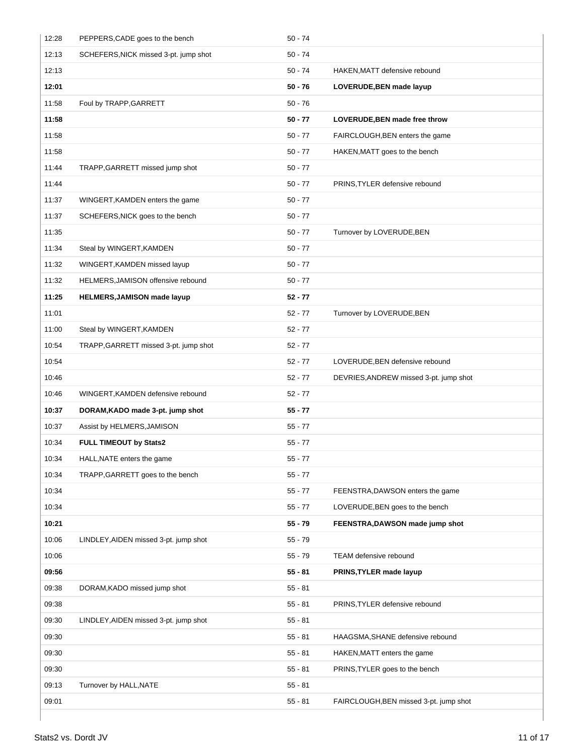| 12:28 | PEPPERS, CADE goes to the bench       | $50 - 74$ |                                        |
|-------|---------------------------------------|-----------|----------------------------------------|
| 12:13 | SCHEFERS, NICK missed 3-pt. jump shot | $50 - 74$ |                                        |
| 12:13 |                                       | $50 - 74$ | HAKEN, MATT defensive rebound          |
| 12:01 |                                       | $50 - 76$ | LOVERUDE, BEN made layup               |
| 11:58 | Foul by TRAPP, GARRETT                | $50 - 76$ |                                        |
| 11:58 |                                       | 50 - 77   | LOVERUDE, BEN made free throw          |
| 11:58 |                                       | $50 - 77$ | FAIRCLOUGH, BEN enters the game        |
| 11:58 |                                       | $50 - 77$ | HAKEN, MATT goes to the bench          |
| 11:44 | TRAPP, GARRETT missed jump shot       | 50 - 77   |                                        |
| 11:44 |                                       | $50 - 77$ | PRINS, TYLER defensive rebound         |
| 11:37 | WINGERT, KAMDEN enters the game       | $50 - 77$ |                                        |
| 11:37 | SCHEFERS, NICK goes to the bench      | $50 - 77$ |                                        |
| 11:35 |                                       | 50 - 77   | Turnover by LOVERUDE, BEN              |
| 11:34 | Steal by WINGERT, KAMDEN              | $50 - 77$ |                                        |
| 11:32 | WINGERT, KAMDEN missed layup          | $50 - 77$ |                                        |
| 11:32 | HELMERS, JAMISON offensive rebound    | $50 - 77$ |                                        |
| 11:25 | <b>HELMERS, JAMISON made layup</b>    | $52 - 77$ |                                        |
| 11:01 |                                       | $52 - 77$ | Turnover by LOVERUDE, BEN              |
| 11:00 | Steal by WINGERT, KAMDEN              | $52 - 77$ |                                        |
| 10:54 | TRAPP, GARRETT missed 3-pt. jump shot | $52 - 77$ |                                        |
| 10:54 |                                       | $52 - 77$ | LOVERUDE, BEN defensive rebound        |
| 10:46 |                                       | $52 - 77$ | DEVRIES, ANDREW missed 3-pt. jump shot |
| 10:46 | WINGERT, KAMDEN defensive rebound     | $52 - 77$ |                                        |
| 10:37 | DORAM, KADO made 3-pt. jump shot      | $55 - 77$ |                                        |
| 10:37 | Assist by HELMERS, JAMISON            | $55 - 77$ |                                        |
| 10:34 | FULL TIMEOUT by Stats2                | $55 - 77$ |                                        |
| 10:34 | HALL, NATE enters the game            | $55 - 77$ |                                        |
| 10:34 | TRAPP, GARRETT goes to the bench      | 55 - 77   |                                        |
| 10:34 |                                       | $55 - 77$ | FEENSTRA, DAWSON enters the game       |
| 10:34 |                                       | $55 - 77$ | LOVERUDE, BEN goes to the bench        |
| 10:21 |                                       | 55 - 79   | FEENSTRA, DAWSON made jump shot        |
| 10:06 | LINDLEY, AIDEN missed 3-pt. jump shot | $55 - 79$ |                                        |
| 10:06 |                                       | $55 - 79$ | TEAM defensive rebound                 |
| 09:56 |                                       | $55 - 81$ | PRINS, TYLER made layup                |
| 09:38 | DORAM, KADO missed jump shot          | $55 - 81$ |                                        |
| 09:38 |                                       | $55 - 81$ | PRINS, TYLER defensive rebound         |
| 09:30 | LINDLEY, AIDEN missed 3-pt. jump shot | 55 - 81   |                                        |
| 09:30 |                                       | $55 - 81$ | HAAGSMA, SHANE defensive rebound       |
| 09:30 |                                       | $55 - 81$ | HAKEN, MATT enters the game            |
| 09:30 |                                       | $55 - 81$ | PRINS, TYLER goes to the bench         |
| 09:13 | Turnover by HALL, NATE                | $55 - 81$ |                                        |
| 09:01 |                                       | 55 - 81   | FAIRCLOUGH, BEN missed 3-pt. jump shot |
|       |                                       |           |                                        |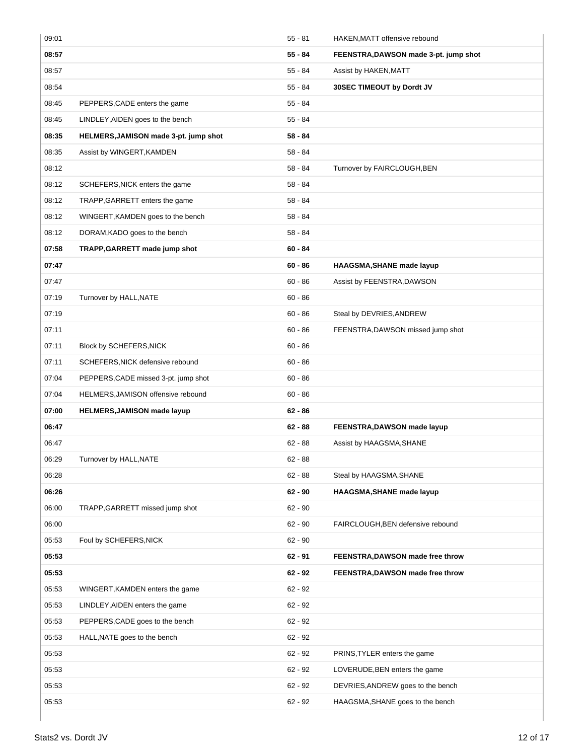| 09:01 |                                       | $55 - 81$ | HAKEN, MATT offensive rebound         |
|-------|---------------------------------------|-----------|---------------------------------------|
| 08:57 |                                       | $55 - 84$ | FEENSTRA, DAWSON made 3-pt. jump shot |
| 08:57 |                                       | 55 - 84   | Assist by HAKEN, MATT                 |
| 08:54 |                                       | 55 - 84   | 30SEC TIMEOUT by Dordt JV             |
| 08:45 | PEPPERS, CADE enters the game         | 55 - 84   |                                       |
| 08:45 | LINDLEY, AIDEN goes to the bench      | 55 - 84   |                                       |
| 08:35 | HELMERS, JAMISON made 3-pt. jump shot | $58 - 84$ |                                       |
| 08:35 | Assist by WINGERT, KAMDEN             | $58 - 84$ |                                       |
| 08:12 |                                       | 58 - 84   | Turnover by FAIRCLOUGH, BEN           |
| 08:12 | SCHEFERS, NICK enters the game        | 58 - 84   |                                       |
| 08:12 | TRAPP, GARRETT enters the game        | 58 - 84   |                                       |
| 08:12 | WINGERT, KAMDEN goes to the bench     | $58 - 84$ |                                       |
| 08:12 | DORAM, KADO goes to the bench         | $58 - 84$ |                                       |
| 07:58 | TRAPP, GARRETT made jump shot         | $60 - 84$ |                                       |
| 07:47 |                                       | $60 - 86$ | HAAGSMA, SHANE made layup             |
| 07:47 |                                       | $60 - 86$ | Assist by FEENSTRA, DAWSON            |
| 07:19 | Turnover by HALL, NATE                | $60 - 86$ |                                       |
| 07:19 |                                       | $60 - 86$ | Steal by DEVRIES, ANDREW              |
| 07:11 |                                       | $60 - 86$ | FEENSTRA, DAWSON missed jump shot     |
| 07:11 | Block by SCHEFERS, NICK               | $60 - 86$ |                                       |
| 07:11 | SCHEFERS, NICK defensive rebound      | $60 - 86$ |                                       |
| 07:04 | PEPPERS, CADE missed 3-pt. jump shot  | $60 - 86$ |                                       |
|       |                                       |           |                                       |
| 07:04 | HELMERS, JAMISON offensive rebound    | $60 - 86$ |                                       |
| 07:00 | HELMERS, JAMISON made layup           | $62 - 86$ |                                       |
| 06:47 |                                       | $62 - 88$ | FEENSTRA, DAWSON made layup           |
| 06:47 |                                       | $62 - 88$ | Assist by HAAGSMA, SHANE              |
| 06:29 | Turnover by HALL, NATE                | $62 - 88$ |                                       |
| 06:28 |                                       | $62 - 88$ | Steal by HAAGSMA, SHANE               |
| 06:26 |                                       | $62 - 90$ | HAAGSMA, SHANE made layup             |
| 06:00 | TRAPP, GARRETT missed jump shot       | $62 - 90$ |                                       |
| 06:00 |                                       | $62 - 90$ | FAIRCLOUGH, BEN defensive rebound     |
| 05:53 | Foul by SCHEFERS, NICK                | 62 - 90   |                                       |
| 05:53 |                                       | $62 - 91$ | FEENSTRA, DAWSON made free throw      |
| 05:53 |                                       | $62 - 92$ | FEENSTRA, DAWSON made free throw      |
| 05:53 | WINGERT, KAMDEN enters the game       | 62 - 92   |                                       |
| 05:53 | LINDLEY, AIDEN enters the game        | $62 - 92$ |                                       |
| 05:53 | PEPPERS, CADE goes to the bench       | $62 - 92$ |                                       |
| 05:53 | HALL, NATE goes to the bench          | 62 - 92   |                                       |
| 05:53 |                                       | 62 - 92   | PRINS, TYLER enters the game          |
| 05:53 |                                       | 62 - 92   | LOVERUDE, BEN enters the game         |
| 05:53 |                                       | 62 - 92   | DEVRIES, ANDREW goes to the bench     |
| 05:53 |                                       | 62 - 92   | HAAGSMA, SHANE goes to the bench      |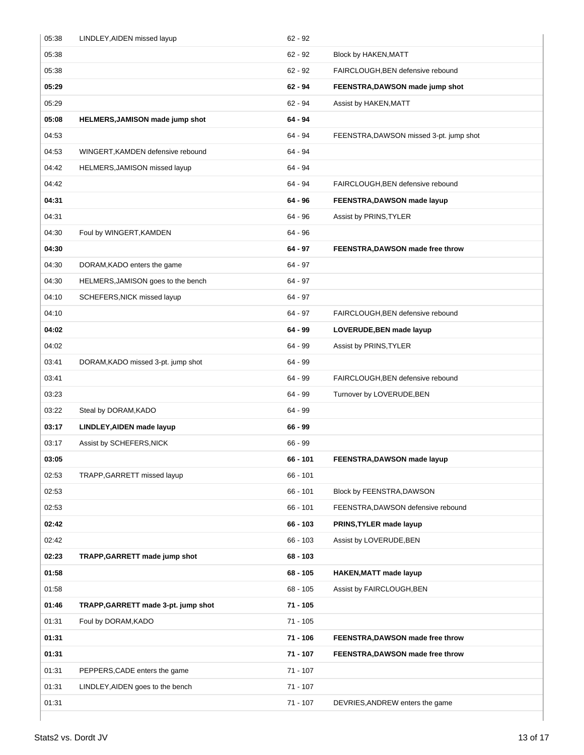| 05:38 | LINDLEY, AIDEN missed layup         | $62 - 92$  |                                         |
|-------|-------------------------------------|------------|-----------------------------------------|
| 05:38 |                                     | $62 - 92$  | Block by HAKEN, MATT                    |
| 05:38 |                                     | $62 - 92$  | FAIRCLOUGH, BEN defensive rebound       |
| 05:29 |                                     | $62 - 94$  | FEENSTRA, DAWSON made jump shot         |
| 05:29 |                                     | $62 - 94$  | Assist by HAKEN, MATT                   |
| 05:08 | HELMERS, JAMISON made jump shot     | $64 - 94$  |                                         |
| 04:53 |                                     | 64 - 94    | FEENSTRA, DAWSON missed 3-pt. jump shot |
| 04:53 | WINGERT, KAMDEN defensive rebound   | 64 - 94    |                                         |
| 04:42 | HELMERS, JAMISON missed layup       | 64 - 94    |                                         |
| 04:42 |                                     | 64 - 94    | FAIRCLOUGH, BEN defensive rebound       |
| 04:31 |                                     | $64 - 96$  | FEENSTRA, DAWSON made layup             |
| 04:31 |                                     | $64 - 96$  | Assist by PRINS, TYLER                  |
| 04:30 | Foul by WINGERT, KAMDEN             | $64 - 96$  |                                         |
| 04:30 |                                     | $64 - 97$  | FEENSTRA, DAWSON made free throw        |
| 04:30 | DORAM, KADO enters the game         | 64 - 97    |                                         |
| 04:30 | HELMERS, JAMISON goes to the bench  | 64 - 97    |                                         |
| 04:10 | SCHEFERS, NICK missed layup         | $64 - 97$  |                                         |
| 04:10 |                                     | 64 - 97    | FAIRCLOUGH, BEN defensive rebound       |
| 04:02 |                                     | $64 - 99$  | LOVERUDE, BEN made layup                |
| 04:02 |                                     | $64 - 99$  | Assist by PRINS, TYLER                  |
| 03:41 | DORAM, KADO missed 3-pt. jump shot  | 64 - 99    |                                         |
| 03:41 |                                     | 64 - 99    | FAIRCLOUGH, BEN defensive rebound       |
| 03:23 |                                     | 64 - 99    | Turnover by LOVERUDE, BEN               |
| 03:22 | Steal by DORAM, KADO                | 64 - 99    |                                         |
| 03:17 | LINDLEY, AIDEN made layup           | $66 - 99$  |                                         |
| 03:17 | Assist by SCHEFERS, NICK            | $66 - 99$  |                                         |
| 03:05 |                                     | 66 - 101   | FEENSTRA, DAWSON made layup             |
| 02:53 | TRAPP, GARRETT missed layup         | 66 - 101   |                                         |
| 02:53 |                                     | $66 - 101$ | Block by FEENSTRA, DAWSON               |
| 02:53 |                                     | $66 - 101$ | FEENSTRA, DAWSON defensive rebound      |
| 02:42 |                                     | 66 - 103   | PRINS, TYLER made layup                 |
| 02:42 |                                     | $66 - 103$ | Assist by LOVERUDE, BEN                 |
| 02:23 | TRAPP, GARRETT made jump shot       | 68 - 103   |                                         |
| 01:58 |                                     | $68 - 105$ | <b>HAKEN, MATT made layup</b>           |
| 01:58 |                                     | $68 - 105$ | Assist by FAIRCLOUGH, BEN               |
| 01:46 | TRAPP, GARRETT made 3-pt. jump shot | 71 - 105   |                                         |
| 01:31 | Foul by DORAM, KADO                 | $71 - 105$ |                                         |
| 01:31 |                                     | $71 - 106$ | FEENSTRA, DAWSON made free throw        |
| 01:31 |                                     | 71 - 107   | FEENSTRA, DAWSON made free throw        |
| 01:31 | PEPPERS, CADE enters the game       | 71 - 107   |                                         |
| 01:31 | LINDLEY, AIDEN goes to the bench    | $71 - 107$ |                                         |
| 01:31 |                                     | $71 - 107$ | DEVRIES, ANDREW enters the game         |
|       |                                     |            |                                         |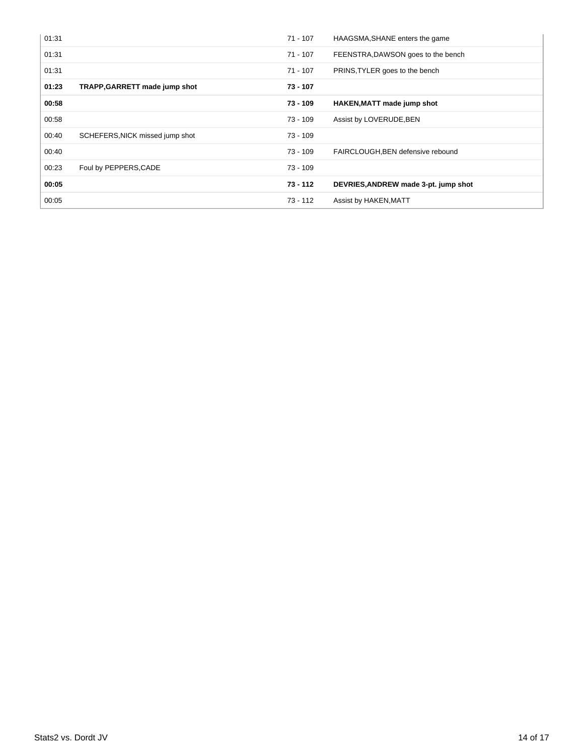| 01:31 |                                 | $71 - 107$ | HAAGSMA, SHANE enters the game       |
|-------|---------------------------------|------------|--------------------------------------|
| 01:31 |                                 | $71 - 107$ | FEENSTRA, DAWSON goes to the bench   |
| 01:31 |                                 | $71 - 107$ | PRINS, TYLER goes to the bench       |
| 01:23 | TRAPP, GARRETT made jump shot   | 73 - 107   |                                      |
| 00:58 |                                 | 73 - 109   | <b>HAKEN, MATT made jump shot</b>    |
| 00:58 |                                 | 73 - 109   | Assist by LOVERUDE, BEN              |
| 00:40 | SCHEFERS, NICK missed jump shot | $73 - 109$ |                                      |
| 00:40 |                                 | 73 - 109   | FAIRCLOUGH, BEN defensive rebound    |
| 00:23 | Foul by PEPPERS, CADE           | 73 - 109   |                                      |
| 00:05 |                                 | $73 - 112$ | DEVRIES, ANDREW made 3-pt. jump shot |
| 00:05 |                                 | $73 - 112$ | Assist by HAKEN, MATT                |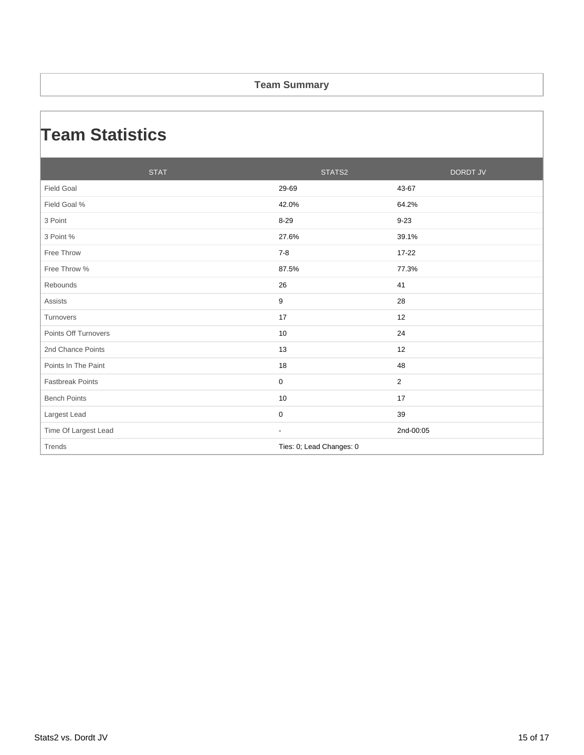#### **Team Summary**

### **Team Statistics**

| <b>STAT</b>             | STATS2                   | <b>DORDT JV</b> |
|-------------------------|--------------------------|-----------------|
| <b>Field Goal</b>       | 29-69                    | 43-67           |
| Field Goal %            | 42.0%                    | 64.2%           |
| 3 Point                 | $8 - 29$                 | $9 - 23$        |
| 3 Point %               | 27.6%                    | 39.1%           |
| Free Throw              | $7 - 8$                  | 17-22           |
| Free Throw %            | 87.5%                    | 77.3%           |
| Rebounds                | 26                       | 41              |
| <b>Assists</b>          | 9                        | 28              |
| Turnovers               | 17                       | 12              |
| Points Off Turnovers    | 10                       | 24              |
| 2nd Chance Points       | 13                       | 12              |
| Points In The Paint     | 18                       | 48              |
| <b>Fastbreak Points</b> | $\mathbf 0$              | $\overline{2}$  |
| <b>Bench Points</b>     | 10                       | 17              |
| Largest Lead            | $\mathbf 0$              | 39              |
| Time Of Largest Lead    | ٠                        | 2nd-00:05       |
| Trends                  | Ties: 0; Lead Changes: 0 |                 |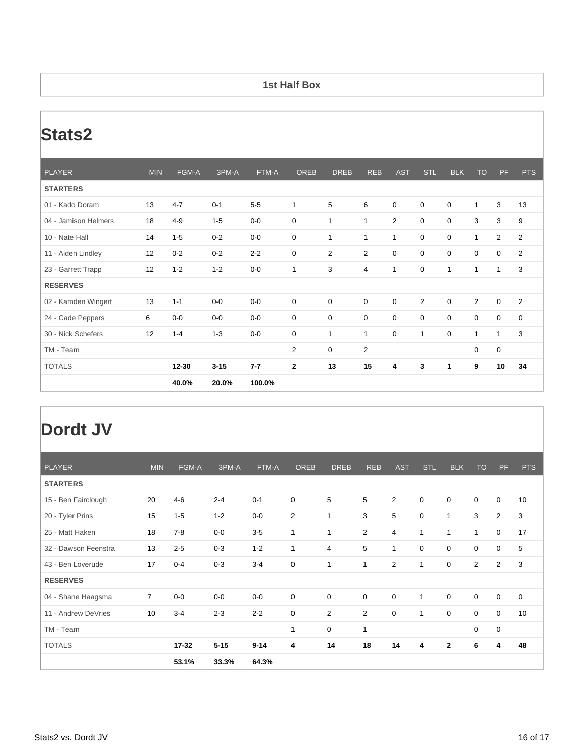#### **1st Half Box**

# **Stats2**

| <b>PLAYER</b>        | <b>MIN</b> | FGM-A     | 3PM-A    | FTM-A   | <b>OREB</b>    | <b>DREB</b>    | <b>REB</b>              | <b>AST</b>     | <b>STL</b>   | <b>BLK</b>   | <b>TO</b>      | PF             | <b>PTS</b>  |
|----------------------|------------|-----------|----------|---------|----------------|----------------|-------------------------|----------------|--------------|--------------|----------------|----------------|-------------|
| <b>STARTERS</b>      |            |           |          |         |                |                |                         |                |              |              |                |                |             |
| 01 - Kado Doram      | 13         | $4 - 7$   | $0 - 1$  | $5-5$   | 1              | 5              | 6                       | $\mathbf 0$    | $\mathbf 0$  | $\mathbf 0$  | $\mathbf{1}$   | 3              | 13          |
| 04 - Jamison Helmers | 18         | $4 - 9$   | $1 - 5$  | $0-0$   | 0              | $\mathbf{1}$   | $\mathbf{1}$            | $\overline{2}$ | $\mathbf 0$  | 0            | 3              | 3              | 9           |
| 10 - Nate Hall       | 14         | $1 - 5$   | $0 - 2$  | $0-0$   | 0              | 1              | $\mathbf{1}$            | 1              | $\mathbf 0$  | 0            | $\mathbf{1}$   | $\overline{2}$ | 2           |
| 11 - Aiden Lindley   | 12         | $0 - 2$   | $0 - 2$  | $2 - 2$ | 0              | $\overline{2}$ | $\overline{2}$          | 0              | $\mathbf 0$  | $\mathbf 0$  | $\mathbf 0$    | 0              | 2           |
| 23 - Garrett Trapp   | 12         | $1 - 2$   | $1 - 2$  | $0-0$   | 1              | 3              | $\overline{4}$          | 1              | $\mathbf 0$  | $\mathbf{1}$ | $\mathbf{1}$   | 1              | 3           |
| <b>RESERVES</b>      |            |           |          |         |                |                |                         |                |              |              |                |                |             |
| 02 - Kamden Wingert  | 13         | $1 - 1$   | $0-0$    | $0-0$   | 0              | 0              | $\mathbf 0$             | $\mathbf 0$    | 2            | $\mathbf 0$  | $\overline{2}$ | $\mathbf 0$    | 2           |
| 24 - Cade Peppers    | 6          | $0-0$     | $0-0$    | $0-0$   | 0              | 0              | $\mathbf 0$             | 0              | $\mathbf 0$  | 0            | $\mathbf 0$    | 0              | $\mathbf 0$ |
| 30 - Nick Schefers   | 12         | $1 - 4$   | $1 - 3$  | $0-0$   | 0              | 1              | $\mathbf{1}$            | 0              | $\mathbf{1}$ | 0            | $\mathbf{1}$   | $\mathbf{1}$   | 3           |
| TM - Team            |            |           |          |         | $\overline{2}$ | 0              | $\overline{\mathbf{c}}$ |                |              |              | $\mathbf 0$    | 0              |             |
| <b>TOTALS</b>        |            | $12 - 30$ | $3 - 15$ | $7 - 7$ | $\mathbf{2}$   | 13             | 15                      | 4              | 3            | 1            | 9              | 10             | 34          |
|                      |            | 40.0%     | 20.0%    | 100.0%  |                |                |                         |                |              |              |                |                |             |

### **Dordt JV**

| <b>PLAYER</b>        | <b>MIN</b>     | FGM-A   | 3PM-A    | FTM-A    | <b>OREB</b>      | <b>DREB</b>    | <b>REB</b>     | <b>AST</b>       | <b>STL</b>       | <b>BLK</b>   | <b>TO</b>    | PF             | <b>PTS</b>  |
|----------------------|----------------|---------|----------|----------|------------------|----------------|----------------|------------------|------------------|--------------|--------------|----------------|-------------|
| <b>STARTERS</b>      |                |         |          |          |                  |                |                |                  |                  |              |              |                |             |
| 15 - Ben Fairclough  | 20             | $4 - 6$ | $2 - 4$  | $0 - 1$  | 0                | 5              | 5              | 2                | $\mathbf 0$      | $\mathbf 0$  | 0            | $\mathbf 0$    | 10          |
| 20 - Tyler Prins     | 15             | $1 - 5$ | $1 - 2$  | $0-0$    | $\overline{2}$   | 1              | 3              | 5                | $\boldsymbol{0}$ | $\mathbf{1}$ | 3            | $\overline{2}$ | 3           |
| 25 - Matt Haken      | 18             | $7 - 8$ | $0-0$    | $3-5$    | $\mathbf{1}$     | 1              | $\overline{2}$ | $\overline{4}$   | 1                | $\mathbf{1}$ | $\mathbf{1}$ | $\mathbf 0$    | 17          |
| 32 - Dawson Feenstra | 13             | $2 - 5$ | $0 - 3$  | $1 - 2$  | $\mathbf{1}$     | $\overline{4}$ | 5              | $\mathbf{1}$     | 0                | $\mathbf 0$  | 0            | $\mathbf 0$    | 5           |
| 43 - Ben Loverude    | 17             | $0 - 4$ | $0 - 3$  | $3 - 4$  | $\mathbf 0$      | 1              | $\mathbf{1}$   | $\overline{2}$   | $\mathbf{1}$     | $\mathbf 0$  | 2            | $\overline{2}$ | 3           |
| <b>RESERVES</b>      |                |         |          |          |                  |                |                |                  |                  |              |              |                |             |
| 04 - Shane Haagsma   | $\overline{7}$ | $0-0$   | $0-0$    | $0-0$    | $\boldsymbol{0}$ | $\mathbf 0$    | 0              | $\boldsymbol{0}$ | $\mathbf{1}$     | $\mathbf 0$  | $\mathbf 0$  | $\mathbf 0$    | $\mathbf 0$ |
| 11 - Andrew DeVries  | 10             | $3 - 4$ | $2 - 3$  | $2 - 2$  | $\boldsymbol{0}$ | $\overline{2}$ | $\overline{2}$ | $\mathbf 0$      | $\mathbf{1}$     | $\mathbf 0$  | 0            | $\mathbf 0$    | 10          |
| TM - Team            |                |         |          |          | $\mathbf{1}$     | $\mathbf 0$    | 1              |                  |                  |              | $\mathbf 0$  | 0              |             |
| <b>TOTALS</b>        |                | 17-32   | $5 - 15$ | $9 - 14$ | 4                | 14             | 18             | 14               | 4                | $\mathbf{2}$ | 6            | 4              | 48          |
|                      |                | 53.1%   | 33.3%    | 64.3%    |                  |                |                |                  |                  |              |              |                |             |